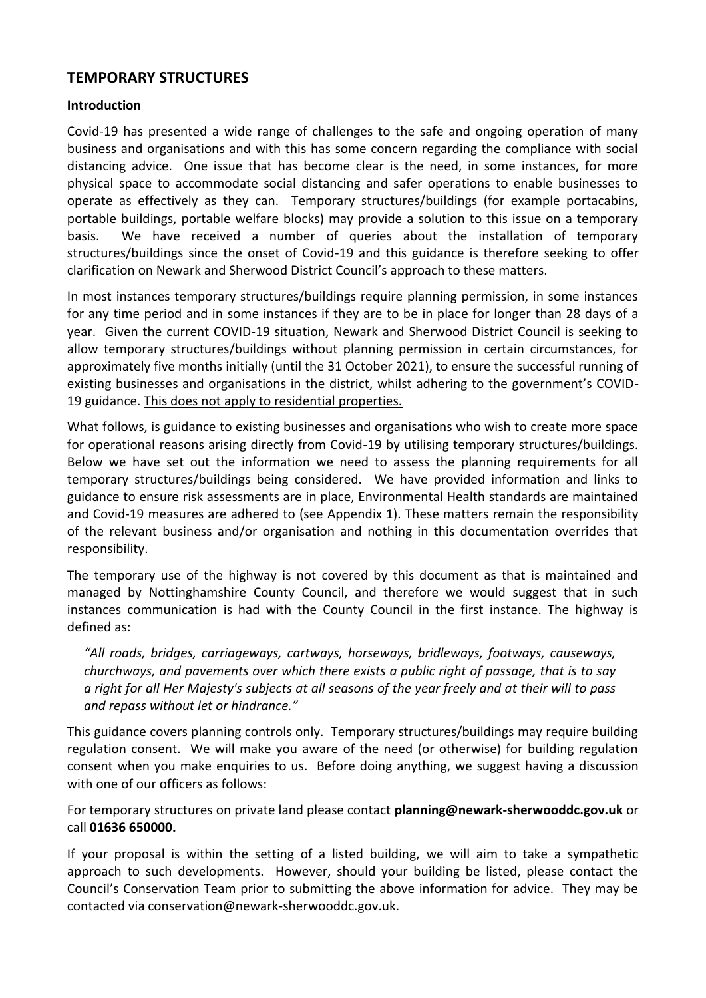# **TEMPORARY STRUCTURES**

### **Introduction**

Covid-19 has presented a wide range of challenges to the safe and ongoing operation of many business and organisations and with this has some concern regarding the compliance with social distancing advice. One issue that has become clear is the need, in some instances, for more physical space to accommodate social distancing and safer operations to enable businesses to operate as effectively as they can. Temporary structures/buildings (for example portacabins, portable buildings, portable welfare blocks) may provide a solution to this issue on a temporary basis. We have received a number of queries about the installation of temporary structures/buildings since the onset of Covid-19 and this guidance is therefore seeking to offer clarification on Newark and Sherwood District Council's approach to these matters.

In most instances temporary structures/buildings require planning permission, in some instances for any time period and in some instances if they are to be in place for longer than 28 days of a year. Given the current COVID-19 situation, Newark and Sherwood District Council is seeking to allow temporary structures/buildings without planning permission in certain circumstances, for approximately five months initially (until the 31 October 2021), to ensure the successful running of existing businesses and organisations in the district, whilst adhering to the government's COVID-19 guidance. This does not apply to residential properties.

What follows, is guidance to existing businesses and organisations who wish to create more space for operational reasons arising directly from Covid-19 by utilising temporary structures/buildings. Below we have set out the information we need to assess the planning requirements for all temporary structures/buildings being considered. We have provided information and links to guidance to ensure risk assessments are in place, Environmental Health standards are maintained and Covid-19 measures are adhered to (see Appendix 1). These matters remain the responsibility of the relevant business and/or organisation and nothing in this documentation overrides that responsibility.

The temporary use of the highway is not covered by this document as that is maintained and managed by Nottinghamshire County Council, and therefore we would suggest that in such instances communication is had with the County Council in the first instance. The highway is defined as:

*"All roads, bridges, carriageways, cartways, horseways, bridleways, footways, causeways, churchways, and pavements over which there exists a public right of passage, that is to say a right for all Her Majesty's subjects at all seasons of the year freely and at their will to pass and repass without let or hindrance."* 

This guidance covers planning controls only. Temporary structures/buildings may require building regulation consent. We will make you aware of the need (or otherwise) for building regulation consent when you make enquiries to us. Before doing anything, we suggest having a discussion with one of our officers as follows:

For temporary structures on private land please contact **planning@newark-sherwooddc.gov.uk** or call **01636 650000.**

If your proposal is within the setting of a listed building, we will aim to take a sympathetic approach to such developments. However, should your building be listed, please contact the Council's Conservation Team prior to submitting the above information for advice. They may be contacted via conservation@newark-sherwooddc.gov.uk.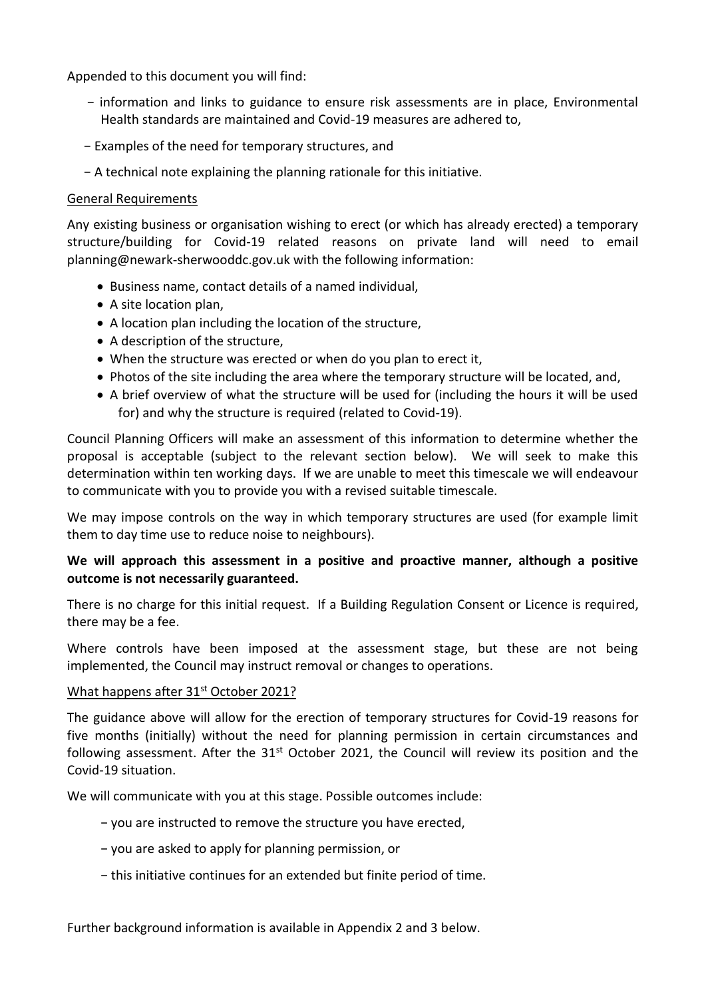Appended to this document you will find:

- − information and links to guidance to ensure risk assessments are in place, Environmental Health standards are maintained and Covid-19 measures are adhered to,
- − Examples of the need for temporary structures, and
- − A technical note explaining the planning rationale for this initiative.

#### General Requirements

Any existing business or organisation wishing to erect (or which has already erected) a temporary structure/building for Covid-19 related reasons on private land will need to email planning@newark-sherwooddc.gov.uk with the following information:

- Business name, contact details of a named individual,
- A site location plan,
- A location plan including the location of the structure,
- A description of the structure,
- When the structure was erected or when do you plan to erect it,
- Photos of the site including the area where the temporary structure will be located, and,
- A brief overview of what the structure will be used for (including the hours it will be used for) and why the structure is required (related to Covid-19).

Council Planning Officers will make an assessment of this information to determine whether the proposal is acceptable (subject to the relevant section below). We will seek to make this determination within ten working days. If we are unable to meet this timescale we will endeavour to communicate with you to provide you with a revised suitable timescale.

We may impose controls on the way in which temporary structures are used (for example limit them to day time use to reduce noise to neighbours).

### **We will approach this assessment in a positive and proactive manner, although a positive outcome is not necessarily guaranteed.**

There is no charge for this initial request. If a Building Regulation Consent or Licence is required, there may be a fee.

Where controls have been imposed at the assessment stage, but these are not being implemented, the Council may instruct removal or changes to operations.

#### What happens after 31<sup>st</sup> October 2021?

The guidance above will allow for the erection of temporary structures for Covid-19 reasons for five months (initially) without the need for planning permission in certain circumstances and following assessment. After the 31<sup>st</sup> October 2021, the Council will review its position and the Covid-19 situation.

We will communicate with you at this stage. Possible outcomes include:

- − you are instructed to remove the structure you have erected,
- − you are asked to apply for planning permission, or
- − this initiative continues for an extended but finite period of time.

Further background information is available in Appendix 2 and 3 below.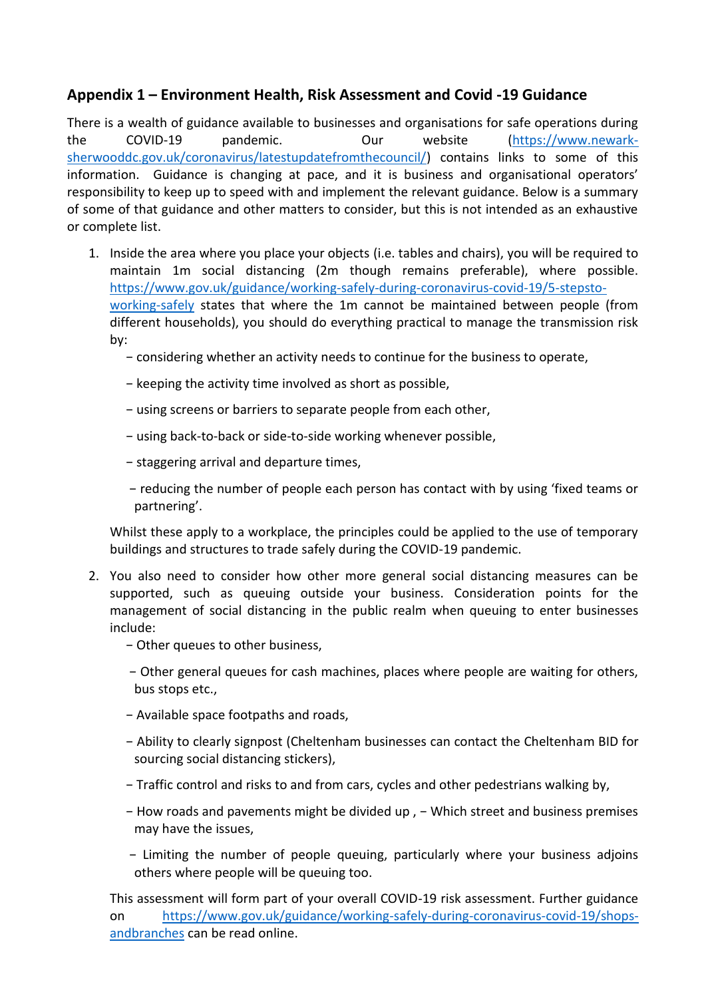# **Appendix 1 – Environment Health, Risk Assessment and Covid -19 Guidance**

There is a wealth of guidance available to businesses and organisations for safe operations during the COVID-19 pandemic. Our website [\(https://www.newark](https://www.newark-sherwooddc.gov.uk/coronavirus/latestupdatefromthecouncil/)[sherwooddc.gov.uk/coronavirus/latestupdatefromthecouncil/\)](https://www.newark-sherwooddc.gov.uk/coronavirus/latestupdatefromthecouncil/) contains links to some of this information. Guidance is changing at pace, and it is business and organisational operators' responsibility to keep up to speed with and implement the relevant guidance. Below is a summary of some of that guidance and other matters to consider, but this is not intended as an exhaustive or complete list.

- 1. Inside the area where you place your objects (i.e. tables and chairs), you will be required to maintain 1m social distancing (2m though remains preferable), where possible. [https://www.gov.uk/guidance/working-safely-during-coronavirus-covid-19/5-stepsto](https://www.gov.uk/guidance/working-safely-during-coronavirus-covid-19/5-stepsto-working-safely)[working-safely](https://www.gov.uk/guidance/working-safely-during-coronavirus-covid-19/5-stepsto-working-safely) states that where the 1m cannot be maintained between people (from different households), you should do everything practical to manage the transmission risk by:
	- − considering whether an activity needs to continue for the business to operate,
	- − keeping the activity time involved as short as possible,
	- − using screens or barriers to separate people from each other,
	- − using back-to-back or side-to-side working whenever possible,
	- − staggering arrival and departure times,
	- − reducing the number of people each person has contact with by using 'fixed teams or partnering'.

Whilst these apply to a workplace, the principles could be applied to the use of temporary buildings and structures to trade safely during the COVID-19 pandemic.

- 2. You also need to consider how other more general social distancing measures can be supported, such as queuing outside your business. Consideration points for the management of social distancing in the public realm when queuing to enter businesses include:
	- − Other queues to other business,
	- − Other general queues for cash machines, places where people are waiting for others, bus stops etc.,
	- − Available space footpaths and roads,
	- − Ability to clearly signpost (Cheltenham businesses can contact the Cheltenham BID for sourcing social distancing stickers),
	- − Traffic control and risks to and from cars, cycles and other pedestrians walking by,
	- − How roads and pavements might be divided up , − Which street and business premises may have the issues,
	- − Limiting the number of people queuing, particularly where your business adjoins others where people will be queuing too.

This assessment will form part of your overall COVID-19 risk assessment. Further guidance on [https://www.gov.uk/guidance/working-safely-during-coronavirus-covid-19/shops](https://www.gov.uk/guidance/working-safely-during-coronavirus-covid-19/shops-andbranches)[andbranches](https://www.gov.uk/guidance/working-safely-during-coronavirus-covid-19/shops-andbranches) can be read online.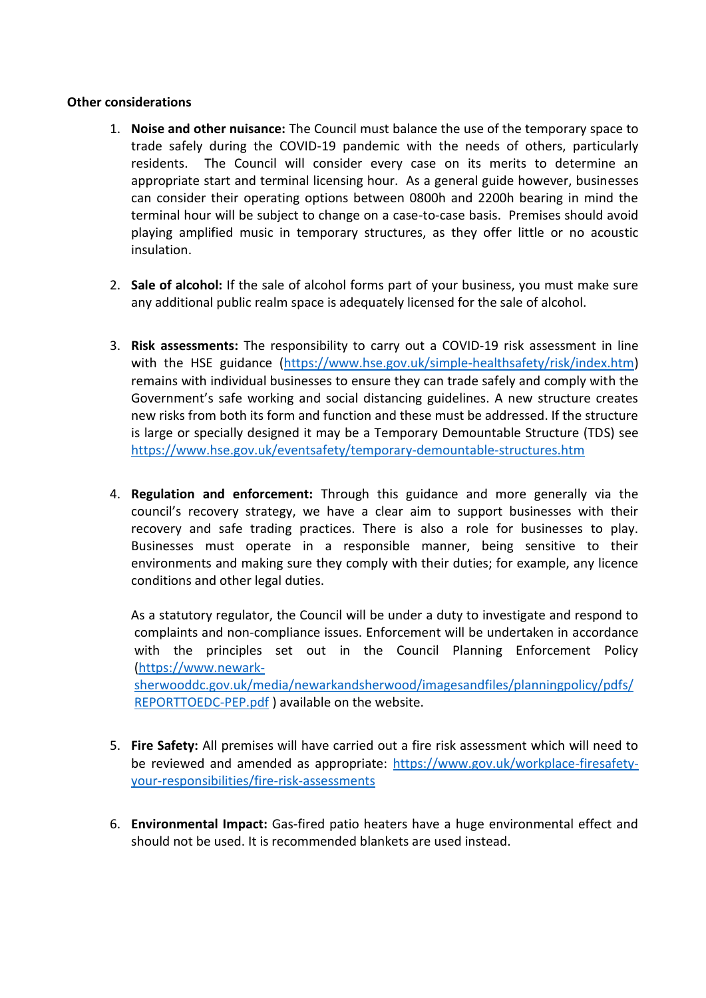#### **Other considerations**

- 1. **Noise and other nuisance:** The Council must balance the use of the temporary space to trade safely during the COVID-19 pandemic with the needs of others, particularly residents. The Council will consider every case on its merits to determine an appropriate start and terminal licensing hour. As a general guide however, businesses can consider their operating options between 0800h and 2200h bearing in mind the terminal hour will be subject to change on a case-to-case basis. Premises should avoid playing amplified music in temporary structures, as they offer little or no acoustic insulation.
- 2. **Sale of alcohol:** If the sale of alcohol forms part of your business, you must make sure any additional public realm space is adequately licensed for the sale of alcohol.
- 3. **Risk assessments:** The responsibility to carry out a COVID-19 risk assessment in line with the HSE guidance [\(https://www.hse.gov.uk/simple-healthsafety/risk/index.htm\)](https://www.hse.gov.uk/simple-healthsafety/risk/index.htm) remains with individual businesses to ensure they can trade safely and comply with the Government's safe working and social distancing guidelines. A new structure creates new risks from both its form and function and these must be addressed. If the structure is large or specially designed it may be a Temporary Demountable Structure (TDS) see <https://www.hse.gov.uk/eventsafety/temporary-demountable-structures.htm>
- 4. **Regulation and enforcement:** Through this guidance and more generally via the council's recovery strategy, we have a clear aim to support businesses with their recovery and safe trading practices. There is also a role for businesses to play. Businesses must operate in a responsible manner, being sensitive to their environments and making sure they comply with their duties; for example, any licence conditions and other legal duties.

As a statutory regulator, the Council will be under a duty to investigate and respond to complaints and non-compliance issues. Enforcement will be undertaken in accordance with the principles set out in the Council Planning Enforcement Policy [\(https://www.newark](https://www.newark-sherwooddc.gov.uk/media/newarkandsherwood/imagesandfiles/planningpolicy/pdfs/REPORTTOEDC-PEP.pdf)[sherwooddc.gov.uk/media/newarkandsherwood/imagesandfiles/planningpolicy/pdfs/](https://www.newark-sherwooddc.gov.uk/media/newarkandsherwood/imagesandfiles/planningpolicy/pdfs/REPORTTOEDC-PEP.pdf) [REPORTTOEDC-PEP.pdf](https://www.newark-sherwooddc.gov.uk/media/newarkandsherwood/imagesandfiles/planningpolicy/pdfs/REPORTTOEDC-PEP.pdf) ) available on the website.

- 5. **Fire Safety:** All premises will have carried out a fire risk assessment which will need to be reviewed and amended as appropriate: [https://www.gov.uk/workplace-firesafety](https://www.gov.uk/workplace-firesafety-your-responsibilities/fire-risk-assessments)[your-responsibilities/fire-risk-assessments](https://www.gov.uk/workplace-firesafety-your-responsibilities/fire-risk-assessments)
- 6. **Environmental Impact:** Gas-fired patio heaters have a huge environmental effect and should not be used. It is recommended blankets are used instead.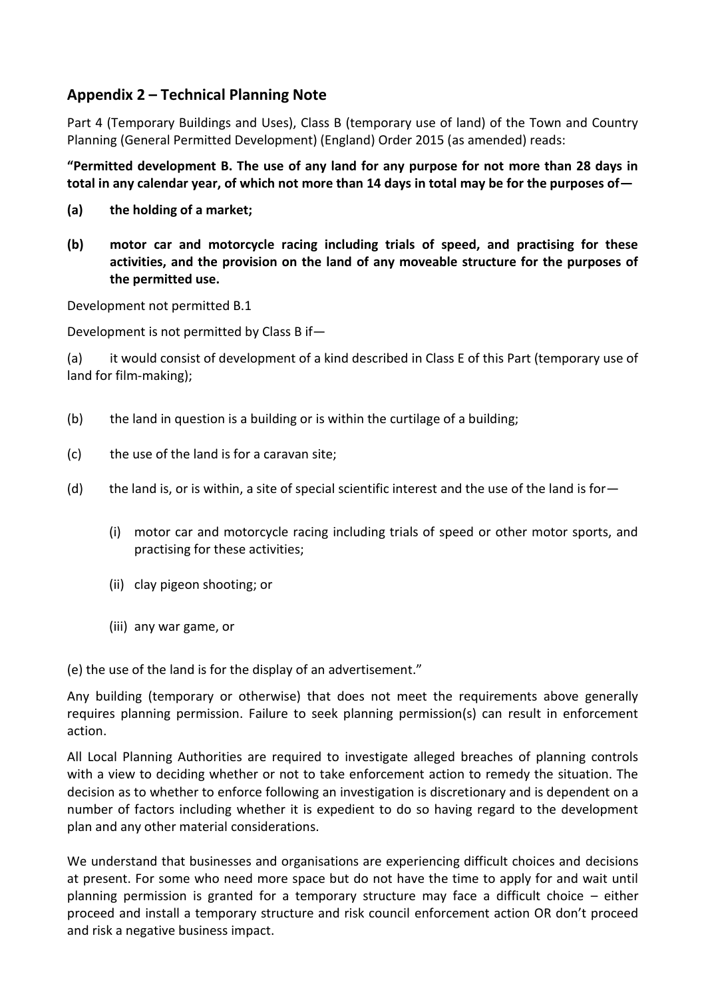# **Appendix 2 – Technical Planning Note**

Part 4 (Temporary Buildings and Uses), Class B (temporary use of land) of the Town and Country Planning (General Permitted Development) (England) Order 2015 (as amended) reads:

**"Permitted development B. The use of any land for any purpose for not more than 28 days in total in any calendar year, of which not more than 14 days in total may be for the purposes of—**

- **(a) the holding of a market;**
- **(b) motor car and motorcycle racing including trials of speed, and practising for these activities, and the provision on the land of any moveable structure for the purposes of the permitted use.**

Development not permitted B.1

Development is not permitted by Class B if—

(a) it would consist of development of a kind described in Class E of this Part (temporary use of land for film-making);

- (b) the land in question is a building or is within the curtilage of a building;
- (c) the use of the land is for a caravan site;
- (d) the land is, or is within, a site of special scientific interest and the use of the land is for—
	- (i) motor car and motorcycle racing including trials of speed or other motor sports, and practising for these activities;
	- (ii) clay pigeon shooting; or
	- (iii) any war game, or

(e) the use of the land is for the display of an advertisement."

Any building (temporary or otherwise) that does not meet the requirements above generally requires planning permission. Failure to seek planning permission(s) can result in enforcement action.

All Local Planning Authorities are required to investigate alleged breaches of planning controls with a view to deciding whether or not to take enforcement action to remedy the situation. The decision as to whether to enforce following an investigation is discretionary and is dependent on a number of factors including whether it is expedient to do so having regard to the development plan and any other material considerations.

We understand that businesses and organisations are experiencing difficult choices and decisions at present. For some who need more space but do not have the time to apply for and wait until planning permission is granted for a temporary structure may face a difficult choice – either proceed and install a temporary structure and risk council enforcement action OR don't proceed and risk a negative business impact.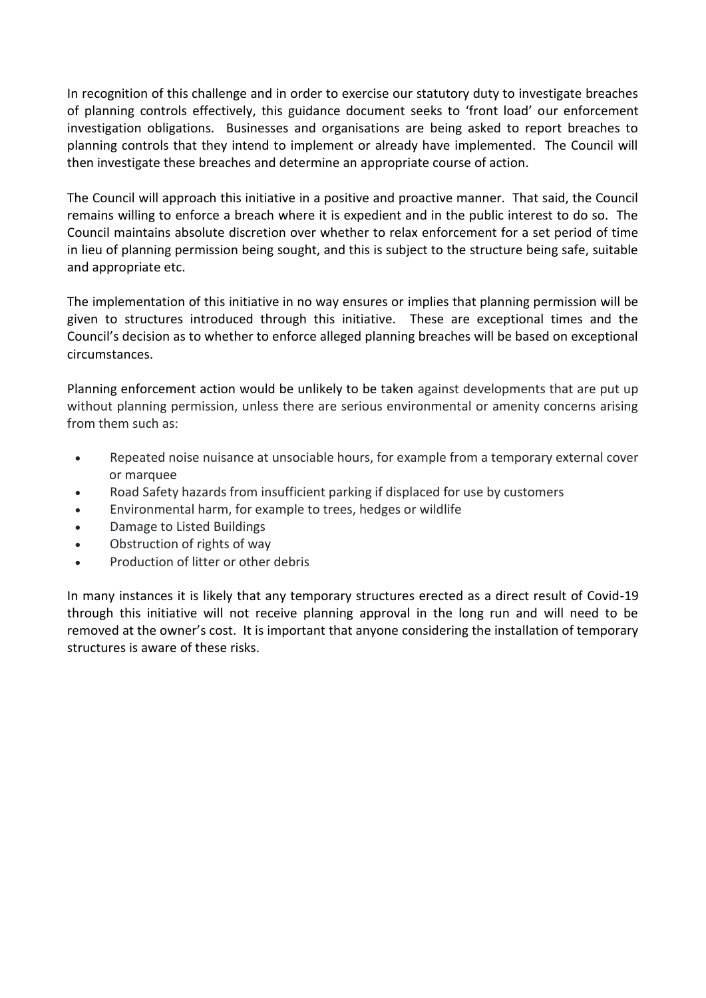In recognition of this challenge and in order to exercise our statutory duty to investigate breaches of planning controls effectively, this guidance document seeks to 'front load' our enforcement investigation obligations. Businesses and organisations are being asked to report breaches to planning controls that they intend to implement or already have implemented. The Council will then investigate these breaches and determine an appropriate course of action.

The Council will approach this initiative in a positive and proactive manner. That said, the Council remains willing to enforce a breach where it is expedient and in the public interest to do so. The Council maintains absolute discretion over whether to relax enforcement for a set period of time in lieu of planning permission being sought, and this is subject to the structure being safe, suitable and appropriate etc.

The implementation of this initiative in no way ensures or implies that planning permission will be given to structures introduced through this initiative. These are exceptional times and the Council's decision as to whether to enforce alleged planning breaches will be based on exceptional circumstances.

Planning enforcement action would be unlikely to be taken against developments that are put up without planning permission, unless there are serious environmental or amenity concerns arising from them such as:

- Repeated noise nuisance at unsociable hours, for example from a temporary external cover or marquee
- Road Safety hazards from insufficient parking if displaced for use by customers
- Environmental harm, for example to trees, hedges or wildlife
- Damage to Listed Buildings
- Obstruction of rights of way
- Production of litter or other debris

In many instances it is likely that any temporary structures erected as a direct result of Covid-19 through this initiative will not receive planning approval in the long run and will need to be removed at the owner's cost. It is important that anyone considering the installation of temporary structures is aware of these risks.